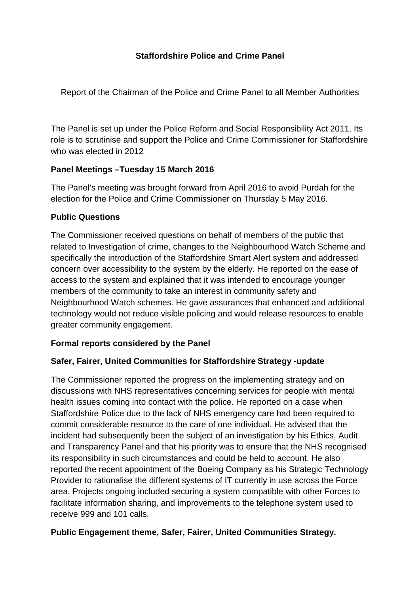# **Staffordshire Police and Crime Panel**

Report of the Chairman of the Police and Crime Panel to all Member Authorities

The Panel is set up under the Police Reform and Social Responsibility Act 2011. Its role is to scrutinise and support the Police and Crime Commissioner for Staffordshire who was elected in 2012

# **Panel Meetings –Tuesday 15 March 2016**

The Panel's meeting was brought forward from April 2016 to avoid Purdah for the election for the Police and Crime Commissioner on Thursday 5 May 2016.

# **Public Questions**

The Commissioner received questions on behalf of members of the public that related to Investigation of crime, changes to the Neighbourhood Watch Scheme and specifically the introduction of the Staffordshire Smart Alert system and addressed concern over accessibility to the system by the elderly. He reported on the ease of access to the system and explained that it was intended to encourage younger members of the community to take an interest in community safety and Neighbourhood Watch schemes. He gave assurances that enhanced and additional technology would not reduce visible policing and would release resources to enable greater community engagement.

# **Formal reports considered by the Panel**

### **Safer, Fairer, United Communities for Staffordshire Strategy -update**

The Commissioner reported the progress on the implementing strategy and on discussions with NHS representatives concerning services for people with mental health issues coming into contact with the police. He reported on a case when Staffordshire Police due to the lack of NHS emergency care had been required to commit considerable resource to the care of one individual. He advised that the incident had subsequently been the subject of an investigation by his Ethics, Audit and Transparency Panel and that his priority was to ensure that the NHS recognised its responsibility in such circumstances and could be held to account. He also reported the recent appointment of the Boeing Company as his Strategic Technology Provider to rationalise the different systems of IT currently in use across the Force area. Projects ongoing included securing a system compatible with other Forces to facilitate information sharing, and improvements to the telephone system used to receive 999 and 101 calls.

### **Public Engagement theme, Safer, Fairer, United Communities Strategy.**